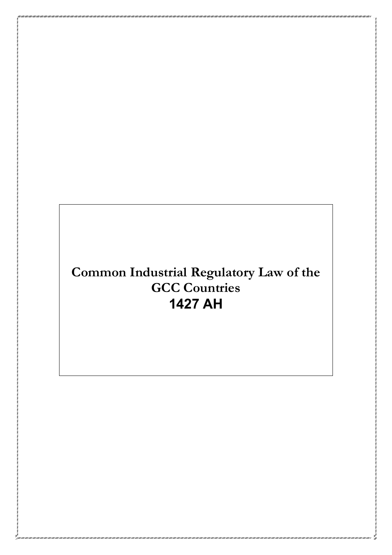# **Common Industrial Regulatory Law of the GCC Countries 1427 AH**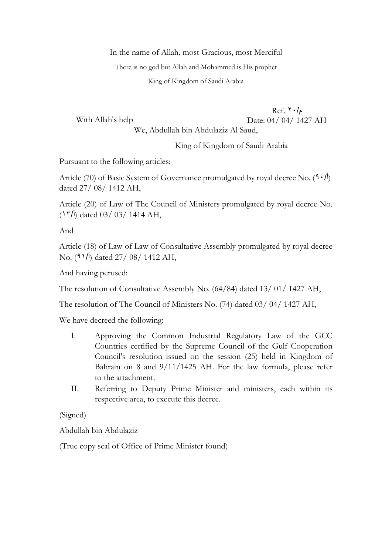In the name of Allah, most Gracious, most Merciful

There is no god but Allah and Mohammed is His prophet

King of Kingdom of Saudi Arabia

With Allah's help  $Ref. 7 \cdot /_{\rho}$ Date: 04/ 04/ 1427 AH We, Abdullah bin Abdulaziz Al Saud,

King of Kingdom of Saudi Arabia

Pursuant to the following articles:

Article (70) of Basic System of Governance promulgated by royal decree No.  $(9 \cdot / \mathcal{E})$ dated 27/ 08/ 1412 AH,

Article (20) of Law of The Council of Ministers promulgated by royal decree No.  $(15/1)$  dated 03/ 03/ 1414 AH,

And

Article (18) of Law of Law of Consultative Assembly promulgated by royal decree No. ( $91/$ ) dated  $27/08/1412$  AH,

And having perused:

The resolution of Consultative Assembly No. (64/84) dated 13/ 01/ 1427 AH,

The resolution of The Council of Ministers No. (74) dated 03/ 04/ 1427 AH,

We have decreed the following:

- I. Approving the Common Industrial Regulatory Law of the GCC Countries certified by the Supreme Council of the Gulf Cooperation Council's resolution issued on the session (25) held in Kingdom of Bahrain on 8 and 9/11/1425 AH. For the law formula, please refer to the attachment.
- II. Referring to Deputy Prime Minister and ministers, each within its respective area, to execute this decree.

(Signed)

Abdullah bin Abdulaziz

(True copy seal of Office of Prime Minister found)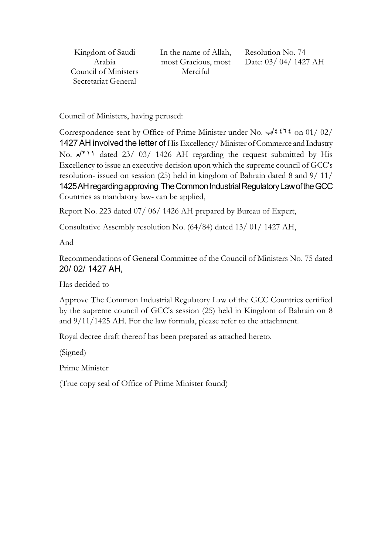Kingdom of Saudi Arabia Council of Ministers Secretariat General

In the name of Allah, most Gracious, most Merciful

Resolution No. 74 Date: 03/ 04/ 1427 AH

Council of Ministers, having perused:

Correspondence sent by Office of Prime Minister under No. ب/4464 on 01/ 02/ 1427AH involved the letter of His Excellency/ Minister of Commerce and Industry No. م/211 dated 23/ 03/ 1426 AH regarding the request submitted by His Excellency to issue an executive decision upon which the supreme council of GCC's resolution- issued on session (25) held in kingdom of Bahrain dated 8 and 9/ 11/ 1425AH regarding approving TheCommon Industrial Regulatory Law of the GCC Countries as mandatory law- can be applied,

Report No. 223 dated 07/ 06/ 1426 AH prepared by Bureau of Expert,

Consultative Assembly resolution No. (64/84) dated 13/ 01/ 1427 AH,

And

Recommendations of General Committee of the Council of Ministers No. 75 dated 20/ 02/ 1427 AH,

Has decided to

Approve The Common Industrial Regulatory Law of the GCC Countries certified by the supreme council of GCC's session (25) held in Kingdom of Bahrain on 8 and 9/11/1425 AH. For the law formula, please refer to the attachment.

Royal decree draft thereof has been prepared as attached hereto.

(Signed)

Prime Minister

(True copy seal of Office of Prime Minister found)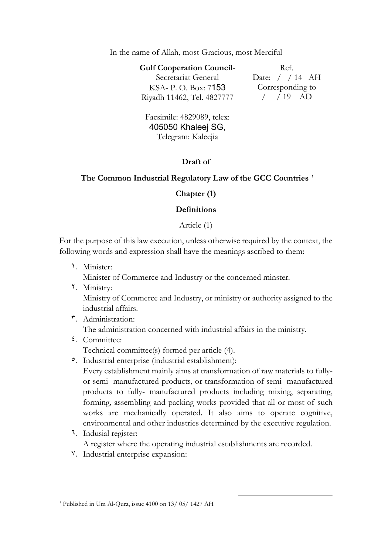#### In the name of Allah, most Gracious, most Merciful

| <b>Gulf Cooperation Council-</b> | Ref.           |
|----------------------------------|----------------|
| Secretariat General              | Date: $/$ / 14 |
| KSA- P. O. Box: 7153             | Correspondin   |
| Riyadh 11462, Tel. 4827777       | $/$ $/$ 19 $/$ |

 $AH$ g to  $AD$ 

Facsimile: 4829089, telex: 405050 Khaleej SG, Telegram: Kaleejia

# **Draft of**

# **The Common Industrial Regulatory Law of the GCC Countries <sup>1</sup>**

# **Chapter (1)**

# **Definitions**

Article (1)

For the purpose of this law execution, unless otherwise required by the context, the following words and expression shall have the meanings ascribed to them:

1. Minister:

Minister of Commerce and Industry or the concerned minster.

2. Ministry:

Ministry of Commerce and Industry, or ministry or authority assigned to the industrial affairs.

- 3. Administration: The administration concerned with industrial affairs in the ministry.
- 4. Committee: Technical committee(s) formed per article (4).
- 5. Industrial enterprise (industrial establishment):

Every establishment mainly aims at transformation of raw materials to fullyor-semi- manufactured products, or transformation of semi- manufactured products to fully- manufactured products including mixing, separating, forming, assembling and packing works provided that all or most of such works are mechanically operated. It also aims to operate cognitive, environmental and other industries determined by the executive regulation.

-

6. Indusial register:

A register where the operating industrial establishments are recorded.

7. Industrial enterprise expansion: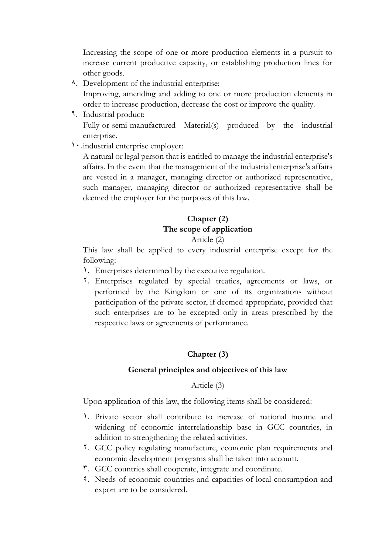Increasing the scope of one or more production elements in a pursuit to increase current productive capacity, or establishing production lines for other goods.

- $\lambda$ . Development of the industrial enterprise: Improving, amending and adding to one or more production elements in order to increase production, decrease the cost or improve the quality.
- 9. Industrial product: Fully-or-semi-manufactured Material(s) produced by the industrial enterprise.
- 10.industrial enterprise employer:

A natural or legal person that is entitled to manage the industrial enterprise's affairs. In the event that the management of the industrial enterprise's affairs are vested in a manager, managing director or authorized representative, such manager, managing director or authorized representative shall be deemed the employer for the purposes of this law.

# **Chapter (2) The scope of application**

#### Article (2)

This law shall be applied to every industrial enterprise except for the following:

- 1. Enterprises determined by the executive regulation.
- 2. Enterprises regulated by special treaties, agreements or laws, or performed by the Kingdom or one of its organizations without participation of the private sector, if deemed appropriate, provided that such enterprises are to be excepted only in areas prescribed by the respective laws or agreements of performance.

# **Chapter (3)**

# **General principles and objectives of this law**

Article (3)

Upon application of this law, the following items shall be considered:

- 1. Private sector shall contribute to increase of national income and widening of economic interrelationship base in GCC countries, in addition to strengthening the related activities.
- 2. GCC policy regulating manufacture, economic plan requirements and economic development programs shall be taken into account.
- 3. GCC countries shall cooperate, integrate and coordinate.
- 4. Needs of economic countries and capacities of local consumption and export are to be considered.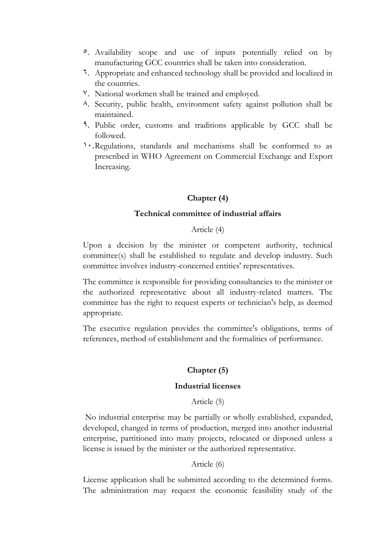- 5. Availability scope and use of inputs potentially relied on by manufacturing GCC countries shall be taken into consideration.
- 6. Appropriate and enhanced technology shall be provided and localized in the countries.
- 7. National workmen shall be trained and employed.
- 8. Security, public health, environment safety against pollution shall be maintained.
- 9. Public order, customs and traditions applicable by GCC shall be followed.
- 10.Regulations, standards and mechanisms shall be conformed to as prescribed in WHO Agreement on Commercial Exchange and Export Increasing.

# **Chapter (4)**

#### **Technical committee of industrial affairs**

#### Article (4)

Upon a decision by the minister or competent authority, technical committee(s) shall be established to regulate and develop industry. Such committee involves industry-concerned entities' representatives.

The committee is responsible for providing consultancies to the minister or the authorized representative about all industry-related matters. The committee has the right to request experts or technician's help, as deemed appropriate.

The executive regulation provides the committee's obligations, terms of references, method of establishment and the formalities of performance.

# **Chapter (5)**

#### **Industrial licenses**

Article (5)

No industrial enterprise may be partially or wholly established, expanded, developed, changed in terms of production, merged into another industrial enterprise, partitioned into many projects, relocated or disposed unless a license is issued by the minister or the authorized representative.

# Article (6)

License application shall be submitted according to the determined forms. The administration may request the economic feasibility study of the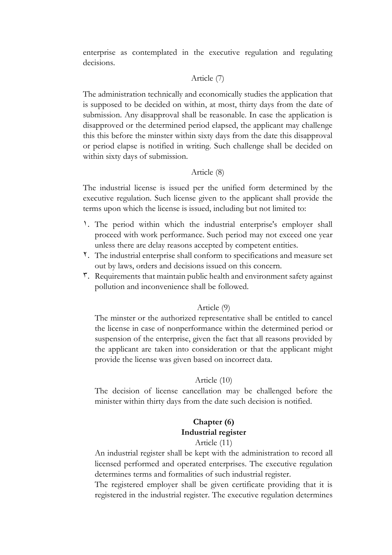enterprise as contemplated in the executive regulation and regulating decisions.

# Article (7)

The administration technically and economically studies the application that is supposed to be decided on within, at most, thirty days from the date of submission. Any disapproval shall be reasonable. In case the application is disapproved or the determined period elapsed, the applicant may challenge this this before the minster within sixty days from the date this disapproval or period elapse is notified in writing. Such challenge shall be decided on within sixty days of submission.

#### Article (8)

The industrial license is issued per the unified form determined by the executive regulation. Such license given to the applicant shall provide the terms upon which the license is issued, including but not limited to:

- 1. The period within which the industrial enterprise's employer shall proceed with work performance. Such period may not exceed one year unless there are delay reasons accepted by competent entities.
- 2. The industrial enterprise shall conform to specifications and measure set out by laws, orders and decisions issued on this concern.
- 3. Requirements that maintain public health and environment safety against pollution and inconvenience shall be followed.

#### Article (9)

The minster or the authorized representative shall be entitled to cancel the license in case of nonperformance within the determined period or suspension of the enterprise, given the fact that all reasons provided by the applicant are taken into consideration or that the applicant might provide the license was given based on incorrect data.

#### Article (10)

The decision of license cancellation may be challenged before the minister within thirty days from the date such decision is notified.

# **Chapter (6) Industrial register**

#### Article (11)

An industrial register shall be kept with the administration to record all licensed performed and operated enterprises. The executive regulation determines terms and formalities of such industrial register.

The registered employer shall be given certificate providing that it is registered in the industrial register. The executive regulation determines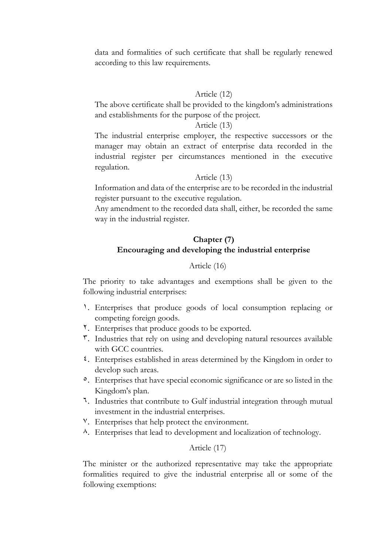data and formalities of such certificate that shall be regularly renewed according to this law requirements.

#### Article (12)

The above certificate shall be provided to the kingdom's administrations and establishments for the purpose of the project.

#### Article (13)

The industrial enterprise employer, the respective successors or the manager may obtain an extract of enterprise data recorded in the industrial register per circumstances mentioned in the executive regulation.

#### Article (13)

Information and data of the enterprise are to be recorded in the industrial register pursuant to the executive regulation.

Any amendment to the recorded data shall, either, be recorded the same way in the industrial register.

# **Chapter (7) Encouraging and developing the industrial enterprise**

#### Article (16)

The priority to take advantages and exemptions shall be given to the following industrial enterprises:

- 1. Enterprises that produce goods of local consumption replacing or competing foreign goods.
- 2. Enterprises that produce goods to be exported.
- 3. Industries that rely on using and developing natural resources available with GCC countries.
- 4. Enterprises established in areas determined by the Kingdom in order to develop such areas.
- 5. Enterprises that have special economic significance or are so listed in the Kingdom's plan.
- 6. Industries that contribute to Gulf industrial integration through mutual investment in the industrial enterprises.
- 7. Enterprises that help protect the environment.
- 8. Enterprises that lead to development and localization of technology.

#### Article (17)

The minister or the authorized representative may take the appropriate formalities required to give the industrial enterprise all or some of the following exemptions: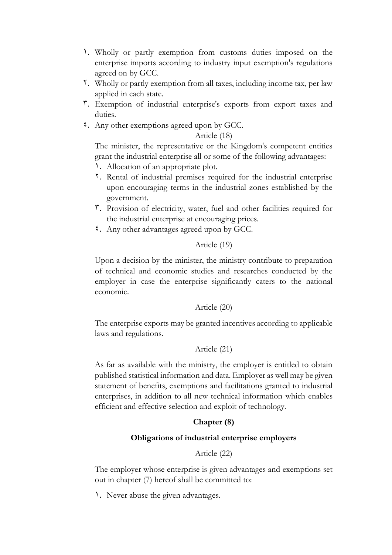- 1. Wholly or partly exemption from customs duties imposed on the enterprise imports according to industry input exemption's regulations agreed on by GCC.
- 2. Wholly or partly exemption from all taxes, including income tax, per law applied in each state.
- 3. Exemption of industrial enterprise's exports from export taxes and duties.
- 4. Any other exemptions agreed upon by GCC.

#### Article (18)

The minister, the representative or the Kingdom's competent entities grant the industrial enterprise all or some of the following advantages:

- 1. Allocation of an appropriate plot.
- 2. Rental of industrial premises required for the industrial enterprise upon encouraging terms in the industrial zones established by the government.
- 3. Provision of electricity, water, fuel and other facilities required for the industrial enterprise at encouraging prices.
- 4. Any other advantages agreed upon by GCC.

# Article (19)

Upon a decision by the minister, the ministry contribute to preparation of technical and economic studies and researches conducted by the employer in case the enterprise significantly caters to the national economic.

# Article (20)

The enterprise exports may be granted incentives according to applicable laws and regulations.

# Article (21)

As far as available with the ministry, the employer is entitled to obtain published statistical information and data. Employer as well may be given statement of benefits, exemptions and facilitations granted to industrial enterprises, in addition to all new technical information which enables efficient and effective selection and exploit of technology.

# **Chapter (8)**

# **Obligations of industrial enterprise employers**

# Article (22)

The employer whose enterprise is given advantages and exemptions set out in chapter (7) hereof shall be committed to:

1. Never abuse the given advantages.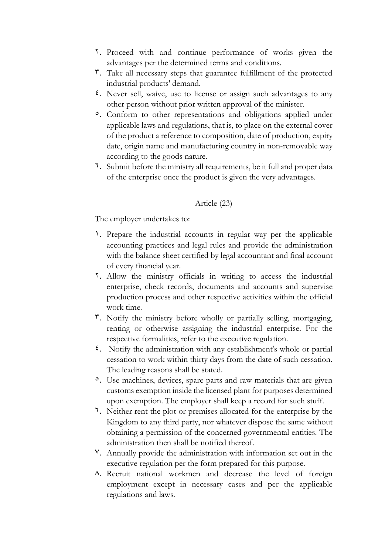- 2. Proceed with and continue performance of works given the advantages per the determined terms and conditions.
- 3. Take all necessary steps that guarantee fulfillment of the protected industrial products' demand.
- 4. Never sell, waive, use to license or assign such advantages to any other person without prior written approval of the minister.
- 5. Conform to other representations and obligations applied under applicable laws and regulations, that is, to place on the external cover of the product a reference to composition, date of production, expiry date, origin name and manufacturing country in non-removable way according to the goods nature.
- 6. Submit before the ministry all requirements, be it full and proper data of the enterprise once the product is given the very advantages.

# Article (23)

The employer undertakes to:

- 1. Prepare the industrial accounts in regular way per the applicable accounting practices and legal rules and provide the administration with the balance sheet certified by legal accountant and final account of every financial year.
- 2. Allow the ministry officials in writing to access the industrial enterprise, check records, documents and accounts and supervise production process and other respective activities within the official work time.
- 3. Notify the ministry before wholly or partially selling, mortgaging, renting or otherwise assigning the industrial enterprise. For the respective formalities, refer to the executive regulation.
- 4. Notify the administration with any establishment's whole or partial cessation to work within thirty days from the date of such cessation. The leading reasons shall be stated.
- <sup>o</sup>. Use machines, devices, spare parts and raw materials that are given customs exemption inside the licensed plant for purposes determined upon exemption. The employer shall keep a record for such stuff.
- 6. Neither rent the plot or premises allocated for the enterprise by the Kingdom to any third party, nor whatever dispose the same without obtaining a permission of the concerned governmental entities. The administration then shall be notified thereof.
- 7. Annually provide the administration with information set out in the executive regulation per the form prepared for this purpose.
- 8. Recruit national workmen and decrease the level of foreign employment except in necessary cases and per the applicable regulations and laws.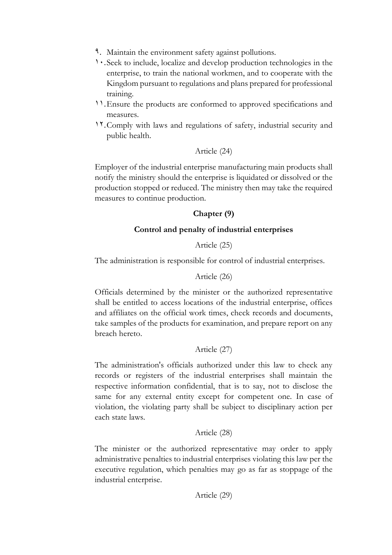- 9. Maintain the environment safety against pollutions.
- 10.Seek to include, localize and develop production technologies in the enterprise, to train the national workmen, and to cooperate with the Kingdom pursuant to regulations and plans prepared for professional training.
- 11.Ensure the products are conformed to approved specifications and measures.
- 12.Comply with laws and regulations of safety, industrial security and public health.

# Article (24)

Employer of the industrial enterprise manufacturing main products shall notify the ministry should the enterprise is liquidated or dissolved or the production stopped or reduced. The ministry then may take the required measures to continue production.

# **Chapter (9)**

# **Control and penalty of industrial enterprises**

# Article (25)

The administration is responsible for control of industrial enterprises.

# Article (26)

Officials determined by the minister or the authorized representative shall be entitled to access locations of the industrial enterprise, offices and affiliates on the official work times, check records and documents, take samples of the products for examination, and prepare report on any breach hereto.

# Article (27)

The administration's officials authorized under this law to check any records or registers of the industrial enterprises shall maintain the respective information confidential, that is to say, not to disclose the same for any external entity except for competent one. In case of violation, the violating party shall be subject to disciplinary action per each state laws.

# Article (28)

The minister or the authorized representative may order to apply administrative penalties to industrial enterprises violating this law per the executive regulation, which penalties may go as far as stoppage of the industrial enterprise.

# Article (29)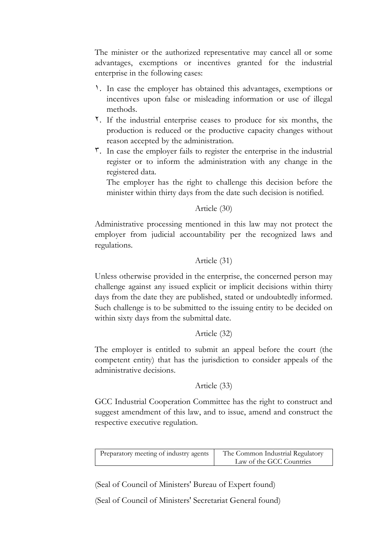The minister or the authorized representative may cancel all or some advantages, exemptions or incentives granted for the industrial enterprise in the following cases:

- 1. In case the employer has obtained this advantages, exemptions or incentives upon false or misleading information or use of illegal methods.
- 2. If the industrial enterprise ceases to produce for six months, the production is reduced or the productive capacity changes without reason accepted by the administration.
- $\tilde{\mathbf{r}}$ . In case the employer fails to register the enterprise in the industrial register or to inform the administration with any change in the registered data.

The employer has the right to challenge this decision before the minister within thirty days from the date such decision is notified.

Article (30)

Administrative processing mentioned in this law may not protect the employer from judicial accountability per the recognized laws and regulations.

# Article (31)

Unless otherwise provided in the enterprise, the concerned person may challenge against any issued explicit or implicit decisions within thirty days from the date they are published, stated or undoubtedly informed. Such challenge is to be submitted to the issuing entity to be decided on within sixty days from the submittal date.

Article (32)

The employer is entitled to submit an appeal before the court (the competent entity) that has the jurisdiction to consider appeals of the administrative decisions.

# Article (33)

GCC Industrial Cooperation Committee has the right to construct and suggest amendment of this law, and to issue, amend and construct the respective executive regulation.

| Preparatory meeting of industry agents | The Common Industrial Regulatory<br>Law of the GCC Countries |
|----------------------------------------|--------------------------------------------------------------|
|                                        |                                                              |

(Seal of Council of Ministers' Bureau of Expert found)

(Seal of Council of Ministers' Secretariat General found)